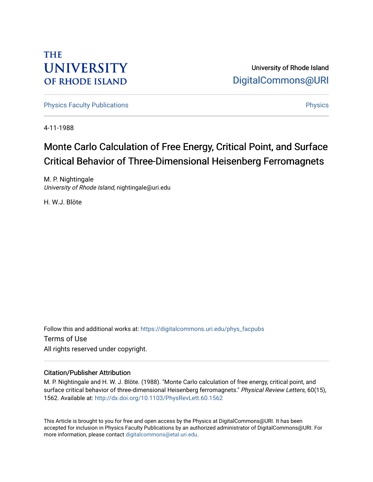## **THE UNIVERSITY OF RHODE ISLAND**

University of Rhode Island [DigitalCommons@URI](https://digitalcommons.uri.edu/) 

[Physics Faculty Publications](https://digitalcommons.uri.edu/phys_facpubs) **Physics** [Physics](https://digitalcommons.uri.edu/phys) Physics

4-11-1988

# Monte Carlo Calculation of Free Energy, Critical Point, and Surface Critical Behavior of Three-Dimensional Heisenberg Ferromagnets

M. P. Nightingale University of Rhode Island, nightingale@uri.edu

H. W.J. Blöte

Follow this and additional works at: [https://digitalcommons.uri.edu/phys\\_facpubs](https://digitalcommons.uri.edu/phys_facpubs?utm_source=digitalcommons.uri.edu%2Fphys_facpubs%2F235&utm_medium=PDF&utm_campaign=PDFCoverPages)  Terms of Use All rights reserved under copyright.

### Citation/Publisher Attribution

M. P. Nightingale and H. W. J. Blöte. (1988). "Monte Carlo calculation of free energy, critical point, and surface critical behavior of three-dimensional Heisenberg ferromagnets." Physical Review Letters, 60(15), 1562. Available at: <http://dx.doi.org/10.1103/PhysRevLett.60.1562>

This Article is brought to you for free and open access by the Physics at DigitalCommons@URI. It has been accepted for inclusion in Physics Faculty Publications by an authorized administrator of DigitalCommons@URI. For more information, please contact [digitalcommons@etal.uri.edu.](mailto:digitalcommons@etal.uri.edu)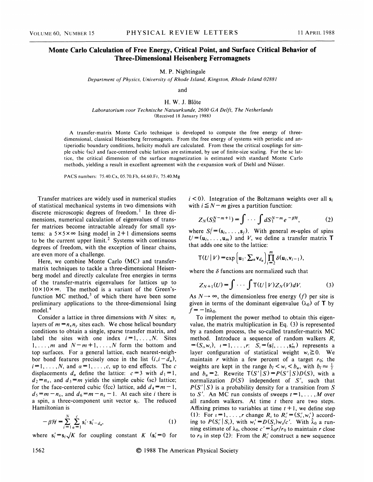#### Monte Carlo Calculation of Free Energy, Critical Point, and Surface Critical Behavior of Three-Dimensional Heisenberg Ferromagnets

M. P. Nightingale

Department of Physics, University of Rhode Island, Kingston, Rhode Island 02881

and

#### H. W. J. Blöte

Laboratorium voor Technische Natuurkunde, 2600 GA Delft, The Netherlands (Received 18 January 1988)

A transfer-matrix Monte Carlo technique is developed to compute the free energy of threedimensional, classical Heisenberg ferromagnets. From the free energy of systems with periodic and antiperiodic boundary conditions, helicity moduli are calculated. From these the critical couplings for simple cubic (sc) and face-centered cubic lattices are estimated, by use of finite-size scaling. For the sc lattice, the critical dimension of the surface magnetization is estimated with standard Monte Carlo methods, yielding a result in excellent agreement with the  $\epsilon$ -expansion work of Diehl and Nüsser.

PACS numbers: 75.40.Cx, 05.70.Fh, 64.60.Fr, 75.40.Mg

Transfer matrices are widely used in numerical studies of statistical mechanical systems in two dimensions with discrete microscopic degrees of freedom.<sup>1</sup> In three dimensions, numerical calculation of eigenvalues of transfer matrices become intractable already for small systems: a  $5 \times 5 \times \infty$  Ising model in 2+1 dimensions seems to be the current upper limit.<sup>2</sup> Systems with continuous degrees of freedom, with the exception of linear chains, are even more of a challenge.

Here, we combine Monte Carlo (MC) and transfermatrix techniques to tackle a three-dimensional Heisenberg model and directly calculate free energies in terms of the transfer-matrix eigenvalues for lattices up to  $10 \times 10 \times \infty$ . The method is a variant of the Green'sfunction MC method, $3$  of which there have been some preliminary applications to the three-dimensional Ising model.<sup>4</sup>

Consider a lattice in three dimensions with N sites:  $n_z$ layers of  $m = n_x n_y$  sites each. We chose helical boundary conditions to obtain a single, sparse transfer matrix, and label the sites with one index  $i = 1, \ldots, N$ . Sites  $1, \ldots, m$  and  $N-m+1, \ldots, N$  form the bottom and top surfaces. For a general lattice, each nearest-neighbor bond features precisely once in the list  $(i, i - d_a)$ ,  $i = 1, \ldots, N$ , and  $\alpha = 1, \ldots, c$ , up to end effects. The c displacements  $d_a$  define the lattice:  $c=3$  with  $d_1=1$ ,  $d_2 = n_x$ , and  $d_3 = m$  yields the simple cubic (sc) lattice; for the face-centered cubic (fcc) lattice, add  $d_4 = m - 1$ ,  $d_5 = m - n_x$ , and  $d_6 = m - n_x - 1$ . At each site *i* there is a spin, a three-component unit vector  $s_i$ . The reduced Hamiltonian is

$$
-\beta \mathcal{H} = \sum_{i=1}^{N} \sum_{\alpha=1}^{c} \mathbf{s}'_i \cdot \mathbf{s}'_{i-d_{\alpha}},\tag{1}
$$

where  $s_i' = s_i \sqrt{K}$  for coupling constant  $K$   $(s_i' = 0$  for

 $i < 0$ ). Integration of the Boltzmann weights over all  $s_i$  with  $i \le N - m$  gives a partition function:

$$
Z_N(S_N^{N-m+1}) = \int \cdots \int dS_1^{N-m} e^{-\beta H}, \qquad (2)
$$

where  $S_i^j = (s_i, \ldots, s_j)$ . With general *m*-uples of spins  $U = (u_i, \dots, u_m)$  and V, we define a transfer matrix T that adds one site to the lattice:

$$
\mathsf{T}(U \mid V) = \exp\left(\mathbf{u}_1 \cdot \sum_a \mathbf{v}_{d_a}\right) \prod_{i=2}^m \delta(\mathbf{u}_i, \mathbf{v}_{i-1}),
$$

where the  $\delta$  functions are normalized such that

$$
Z_{N+1}(U) = \int \cdots \int T(U|V)Z_N(V)dV.
$$
 (3)

As  $N \rightarrow \infty$ , the dimensionless free energy (f) per site is given in terms of the dominant eigenvalue  $(\lambda_0)$  of T by  $f = -\ln \lambda_0$ .

To implement the power method to obtain this eigenvalue, the matrix multiplication in Eq. (3) is represented by a random process, the so-called transfer-matrix MC method. Introduce a sequence of random walkers  $R_i$  $=(S_{i}, w_{i}), i = 1, \ldots, r: \tilde{S}_{i} = (\mathbf{s}_{1}^{1}, \ldots, \mathbf{s}_{m}^{i})$  represents a layer configuration of statistical weight  $w_i \ge 0$ . We maintain r within a few percent of a target  $r_0$ ; the weights are kept in the range  $b_l < w_t < b_u$ , with  $b_l \approx \frac{1}{2}$ and  $b_u = 2$ . Rewrite  $T(S'|S) = P(S'|S)D(S)$ , with a normalization  $D(S)$  independent of S', such that  $P(S'|S)$  is a probability density for a transition from S to S'. An MC run consists of sweeps  $t = 1, \ldots, M$  over all random walkers. At time  $t$  there are two steps. Affixing primes to variables at time  $t + 1$ , we define step (1): For  $i = 1, \ldots, r$  change  $R_i$  to  $R'_i = (S'_i, w'_i)$  according to  $P(S_i' | S_i)$ , with  $w_i' = D(S_i)w_i/c'$ . With  $\hat{\lambda}_0$  a run ning estimate of  $\lambda_0$ , choose  $c'=\hat{\lambda}_0 r/r_0$  to maintain r close to  $r_0$  in step (2): From the  $R'_i$  construct a new sequence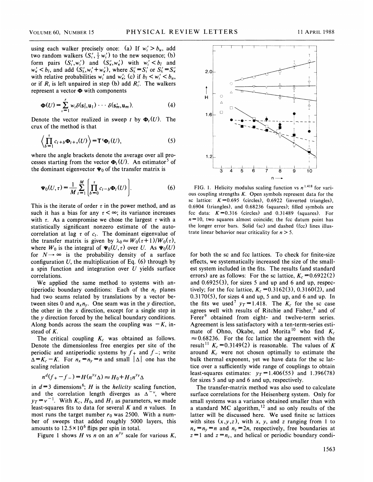using each walker precisely once: (a) If  $w_i' > b_u$ , add two random walkers  $(S'_i, \frac{1}{2} w'_i)$  to the new sequence; (b) form pairs  $(S'_1, w'_1)$  and  $(S'_k, w'_k)$  with  $w'_i < b_i$  and  $w'_k$  < b<sub>l</sub>, and add  $(S'_k, w'_i + w'_k)$ , where  $S'_k = S'_i$  or  $S'_k = S'_k$ with relative probabilities  $w_i'$  and  $w_{\kappa}'$ ; (c) if  $b_l < w_i' < b_u$ , or if  $R_i$  is left unpaired in step (b) add  $R_i'$ . The walkers represent a vector  $\Phi$  with components

$$
\Phi(U) = \sum_{i=1}^{r} w_i \delta(s_i, u_1) \cdots \delta(s_m, u_m).
$$
 (4)

Denote the vector realized in sweep t by  $\Phi_t(U)$ . The crux of the method is that

$$
\left\langle \prod_{b=1}^{\tau} c_{t+b} \Phi_{t+\tau}(U) \right\rangle = \mathsf{T}^{\tau} \Phi_{t}(U), \tag{5}
$$

where the angle brackets denote the average over all processes starting from the vector  $\Phi_t(U)$ . An estimator<sup>5</sup> of the dominant eigenvector  $\Psi_0$  of the transfer matrix is

$$
\Psi_0(U,\tau) = \frac{1}{M} \sum_{t=1}^{M} \left[ \prod_{b=0}^{\tau} c_{t-b} \Phi_t(U) \right]. \tag{6}
$$

This is the iterate of order  $\tau$  in the power method, and as such it has a bias for any  $\tau < \infty$ ; its variance increases with  $\tau$ . As a compromise we chose the largest  $\tau$  with a statistically significant nonzero estimate of the autocorrelation at lag  $\tau$  of  $c_t$ . The dominant eigenvalue of the transfer matrix is given by  $\lambda_0 \approx W_0(\tau+1)/W_0(\tau)$ , where  $W_0$  is the integral of  $\Psi_0(U, \tau)$  over U. As  $\Psi_0(U)$ for  $N \rightarrow \infty$  is the probability density of a surface configuration  $U$ , the multiplication of Eq. (6) through by a spin function and integration over  $U$  yields surface correlations.

We applied the same method to systems with antiperiodic boundary conditions: Each of the  $n<sub>z</sub>$  planes had two seams related by translations by a vector between sites 0 and  $n_x n_y$ . One seam was in the y direction, the other in the x direction, except for a single step in the  $y$  direction forced by the helical boundary conditions. Along bonds across the seam the coupling was  $-K$ , instead of K.

The critical coupling  $K_c$  was obtained as follows. Denote the dimensionless free energies per site of the periodic and antiperiodic systems by  $f_+$  and  $f_-$ ; write  $\Delta = K_c - K$ . For  $n_x = n_y = n$  and small  $|\Delta|$  one has the scaling relation

$$
n^d(f_+ - f_-) = H(n^{\gamma_T} \Delta) \approx H_0 + H_1 n^{\gamma_T} \Delta
$$

in  $d=3$  dimensions<sup>6</sup>; H is the *helicity* scaling function, and the correlation length diverges as  $\Delta^{-\nu}$ , where  $y_T = v^{-1}$ . With  $K_c$ ,  $H_0$ , and  $H_1$  as parameters, we made least-squares fits to data for several  $K$  and  $n$  values. In most runs the target number  $r_0$  was 2500. With a number of sweeps that added roughly 5000 layers, this amounts to  $12.5 \times 10^6$  flips per spin in total.

Figure 1 shows *H* vs *n* on an  $n^{y_T}$  scale for various *K*,



FIG. 1. Helicity modulus scaling function vs  $n^{1.418}$  for vari ous coupling strengths  $K$ . Open symbols represent data for the sc lattice:  $K = 0.695$  (circles), 0.6922 (inverted triangles), 0.6904 (triangles), and 0.68236 (squares); filled symbols are fcc data:  $K = 0.316$  (circles) and 0.31489 (squares). For  $n=10$ , two squares almost coincide; the fcc datum point has the longer error bars. Solid (sc) and dashed (fcc) lines illustrate linear behavior near criticality for  $n > 5$ .

for both the sc and fcc lattices. To check for finite-size effects, we systematically increased the size of the smallest system included in the fits. The results (and standard errors) are as follows: For the sc lattice,  $K_c = 0.6922(2)$ and 0.6925(3), for sizes 5 and up and 6 and up, respectively; for the fcc lattice,  $K_c = 0.3162(3)$ , 0.3160(2), and  $0.3170(5)$ , for sizes 4 and up, 5 and up, and 6 and up. In the fits we used<sup>7</sup>  $y_T = 1.418$ . The  $K_c$  for the sc case agrees well with results of Ritchie and Fisher, $8$  and of Ferer<sup>9</sup> obtained from eight- and twelve-term series. Agreement is less satisfactory with a ten-term-series estimate of Ohno, Okabe, and Morita<sup>10</sup> who find  $K_c$  $\approx 0.68236$ . For the fcc lattice the agreement with the result<sup>11</sup>  $K_c = 0.3149(2)$  is reasonable. The values of K around  $K_c$  were not chosen optimally to estimate the bulk thermal exponent, yet we have data for the sc lattice over a sufficiently wide range of couplings to obtain least-squares estimates:  $y_T = 1.406(55)$  and 1.396(78) for sizes 5 and up and 6 and up, respectively.

The transfer-matrix method was also used to calculate surface correlations for the Heisenberg system. Only for small systems was a variance obtained smaller than with a standard MC algorithm,  $12$  and so only results of the latter will be discussed here. We used finite sc lattices with sites  $(x,y,z)$ , with x, y, and z ranging from 1 to  $n_x = n_y = n$  and  $n_z = 2n$ , respectively, free boundaries at  $z = 1$  and  $z = n_z$ , and helical or periodic boundary condi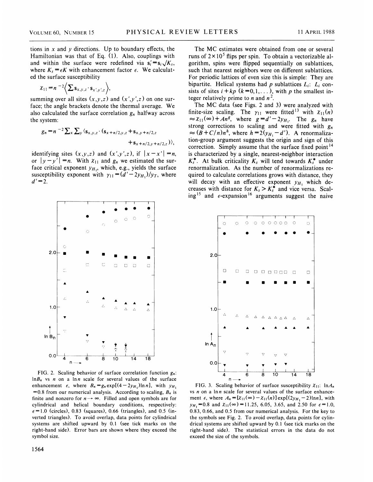tions in  $x$  and  $y$  directions. Up to boundary effects, the Hamiltonian was that of Eq. (1). Also, couplings with and within the surface were redefined via  $s_i' = s_i \sqrt{K_s}$ , where  $K_s = \epsilon K$  with enhancement factor  $\epsilon$ . We calculated the surface susceptibility

$$
\chi_{11} = n^{-2} \Biggl\langle \sum \mathbf{s}_{x,y,z} \cdot \mathbf{s}_{x',y',z} \Biggr\rangle
$$

summing over all sites  $(x,y,z)$  and  $(x',y',z)$  on one surface; the angle brackets denote the thermal average. We also calculated the surface correlation  $g_n$  halfway across the system:

$$
g_n = n^{-2} \sum_{x} \sum_{y} \langle s_{x,y,z} \cdot (s_{x+n/2,y,z} + s_{x,y+n/2,z} + s_{x+n/2,y+n/2,z}) \rangle,
$$

identifying sites  $(x,y,z)$  and  $(x',y',z)$ , if  $|x-x'| = n$ , or  $|y - y'| = n$ . With  $x_{11}$  and  $g_n$  we estimated the surface critical exponent  $y_{H_1}$ , which, e.g., yields the surface susceptibility exponent with  $\gamma_{11} = (d' - 2y_{H_1})/y_T$ , where  $d' = 2$ .



FIG. 2. Scaling behavior of surface correlation function  $g_n$ :  $\ln B_n$  vs n on a  $\ln n$  scale for several values of the surface enhancement  $\epsilon$ , where  $B_n = g_n \exp[(4-2y_{H_1})\ln n]$ , with  $y_{H_1}$ =0.8 from our numerical analysis. According to scaling,  $B_n$  is finite and nonzero for  $n \rightarrow \infty$ . Filled and open symbols are for cylindrical and helical boundary conditions, respectively:  $\epsilon$ =1.0 (circles), 0.83 (squares), 0.66 (triangles), and 0.5 (inverted triangles). To avoid overlap, data points for cylindrical systems are shifted upward by 0.1 (see tick marks on the right-hand side). Error bars are shown where they exceed the symbol size.

The MC estimates were obtained from one or several runs of  $2 \times 10^5$  flips per spin. To obtain a vectorizable algorithm, spins were flipped sequentially on sublattices, such that nearest neighbors were on different sublattices. For periodic lattices of even size this is simple: They are bipartite. Helical systems had p sublattices  $L_i$ :  $L_i$  consists of sites  $i + kp$   $(k=0, 1, \ldots)$ , with p the smallest integer relatively prime to *n* and  $n^2$ .

The MC data (see Figs. 2 and 3) were analyzed with finite-size scaling. The  $\gamma_{11}$  were fitted<sup>13</sup> with  $\chi_{11}(n)$ <br>  $\approx \chi_{11}(\infty) + An^g$ , where  $g = d' - 2y_{H_1}$ . The  $g_n$  have strong corrections to scaling and were fitted with  $g_n$  $\approx (B+C/n)n^{h}$ , where  $h = 2(y_{H_1}-d')$ . A renormalization-group argument suggests the origin and sign of this correction. Simply assume that the surface fixed point<sup>14</sup> is characterized by a single, nearest-neighbor interaction  $K_s^*$ . At bulk criticality  $K_s$  will tend towards  $K_s^*$  under renormalization. As the number of renormalizations required to calculate correlations grows with distance, they will decay with an effective exponent  $y_{H_1}$  which decreases with distance for  $K_s > K_s^*$  and vice versa. Scaling<sup>15</sup> and  $\epsilon$ -expansion<sup>16</sup> arguments suggest the naive



FIG. 3. Scaling behavior of surface susceptibility  $\chi_{11}$ :  $\ln A_n$ vs  $n$  on a  $\ln n$  scale for several values of the surface enhancement  $\epsilon$ , where  $A_n = [\chi_{11}(\infty) - \chi_{11}(n)]$ exp[(2y<sub>H<sub>1</sub></sub> – 2)lnn], with  $y_{H_1} = 0.8$  and  $\chi_{11}(\infty) = 11.25, 6.05, 3.65,$  and 2.50 for  $\epsilon = 1.0$ , 0.83, 0.66, and 0.5 from our numerical analysis. For the key to the symbols see Fig. 2. To avoid overlap, data points for cylindrical systems are shifted upward by 0. <sup>1</sup> (see tick marks on the right-hand side). The statistical errors in the data do not exceed the size of the symbols.